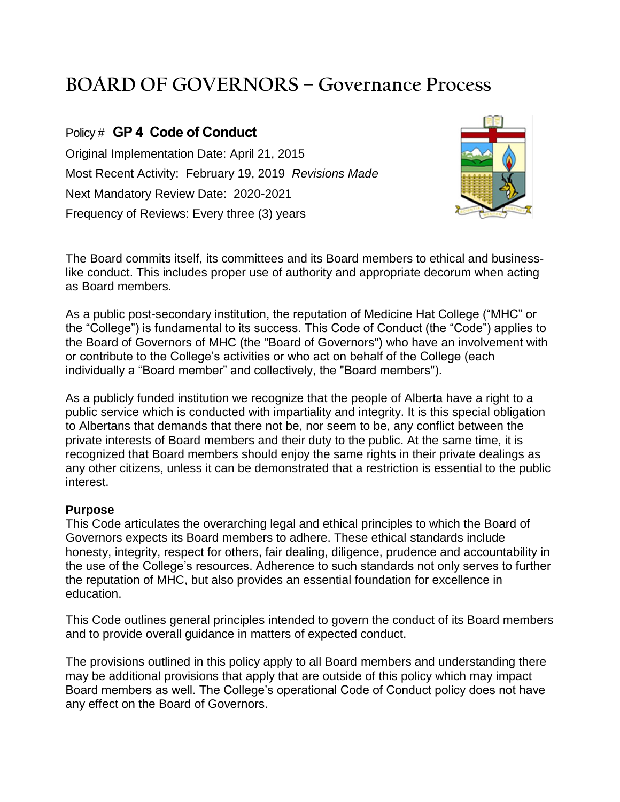# **BOARD OF GOVERNORS – Governance Process**

## Policy # **GP 4 Code of Conduct**

Original Implementation Date: April 21, 2015 Most Recent Activity: February 19, 2019 *Revisions Made* Next Mandatory Review Date: 2020-2021 Frequency of Reviews: Every three (3) years



The Board commits itself, its committees and its Board members to ethical and businesslike conduct. This includes proper use of authority and appropriate decorum when acting as Board members.

As a public post-secondary institution, the reputation of Medicine Hat College ("MHC" or the "College") is fundamental to its success. This Code of Conduct (the "Code") applies to the Board of Governors of MHC (the "Board of Governors") who have an involvement with or contribute to the College's activities or who act on behalf of the College (each individually a "Board member" and collectively, the "Board members").

As a publicly funded institution we recognize that the people of Alberta have a right to a public service which is conducted with impartiality and integrity. It is this special obligation to Albertans that demands that there not be, nor seem to be, any conflict between the private interests of Board members and their duty to the public. At the same time, it is recognized that Board members should enjoy the same rights in their private dealings as any other citizens, unless it can be demonstrated that a restriction is essential to the public interest.

#### **Purpose**

This Code articulates the overarching legal and ethical principles to which the Board of Governors expects its Board members to adhere. These ethical standards include honesty, integrity, respect for others, fair dealing, diligence, prudence and accountability in the use of the College's resources. Adherence to such standards not only serves to further the reputation of MHC, but also provides an essential foundation for excellence in education.

This Code outlines general principles intended to govern the conduct of its Board members and to provide overall guidance in matters of expected conduct.

The provisions outlined in this policy apply to all Board members and understanding there may be additional provisions that apply that are outside of this policy which may impact Board members as well. The College's operational Code of Conduct policy does not have any effect on the Board of Governors.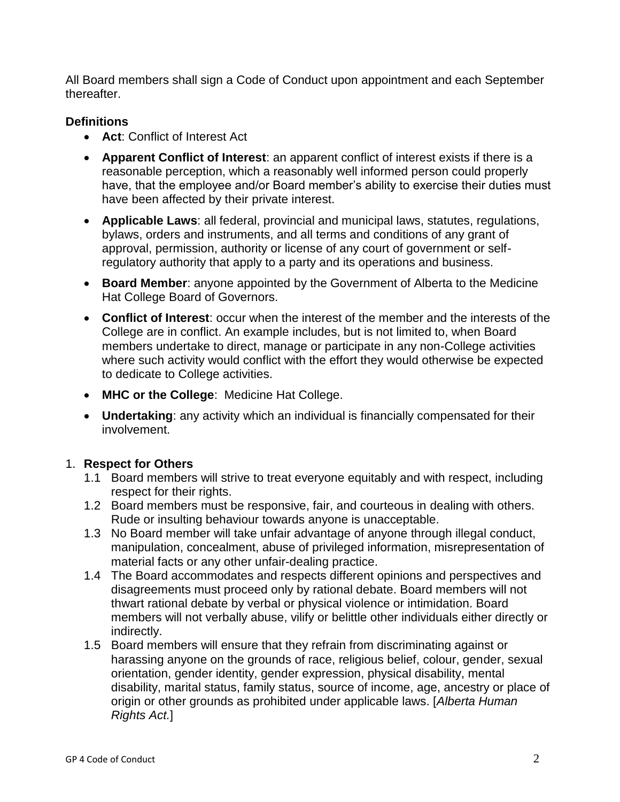All Board members shall sign a Code of Conduct upon appointment and each September thereafter.

## **Definitions**

- **Act**: Conflict of Interest Act
- **Apparent Conflict of Interest**: an apparent conflict of interest exists if there is a reasonable perception, which a reasonably well informed person could properly have, that the employee and/or Board member's ability to exercise their duties must have been affected by their private interest.
- **Applicable Laws**: all federal, provincial and municipal laws, statutes, regulations, bylaws, orders and instruments, and all terms and conditions of any grant of approval, permission, authority or license of any court of government or selfregulatory authority that apply to a party and its operations and business.
- **Board Member**: anyone appointed by the Government of Alberta to the Medicine Hat College Board of Governors.
- **Conflict of Interest**: occur when the interest of the member and the interests of the College are in conflict. An example includes, but is not limited to, when Board members undertake to direct, manage or participate in any non-College activities where such activity would conflict with the effort they would otherwise be expected to dedicate to College activities.
- **MHC or the College**: Medicine Hat College.
- **Undertaking**: any activity which an individual is financially compensated for their involvement.

## 1. **Respect for Others**

- 1.1 Board members will strive to treat everyone equitably and with respect, including respect for their rights.
- 1.2 Board members must be responsive, fair, and courteous in dealing with others. Rude or insulting behaviour towards anyone is unacceptable.
- 1.3 No Board member will take unfair advantage of anyone through illegal conduct, manipulation, concealment, abuse of privileged information, misrepresentation of material facts or any other unfair-dealing practice.
- 1.4 The Board accommodates and respects different opinions and perspectives and disagreements must proceed only by rational debate. Board members will not thwart rational debate by verbal or physical violence or intimidation. Board members will not verbally abuse, vilify or belittle other individuals either directly or indirectly.
- 1.5 Board members will ensure that they refrain from discriminating against or harassing anyone on the grounds of race, religious belief, colour, gender, sexual orientation, gender identity, gender expression, physical disability, mental disability, marital status, family status, source of income, age, ancestry or place of origin or other grounds as prohibited under applicable laws. [*Alberta Human Rights Act.*]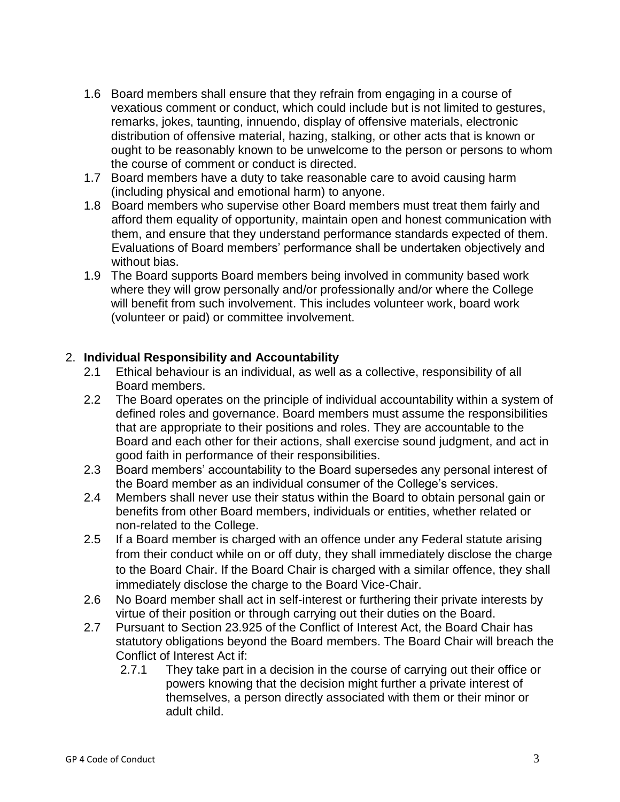- 1.6 Board members shall ensure that they refrain from engaging in a course of vexatious comment or conduct, which could include but is not limited to gestures, remarks, jokes, taunting, innuendo, display of offensive materials, electronic distribution of offensive material, hazing, stalking, or other acts that is known or ought to be reasonably known to be unwelcome to the person or persons to whom the course of comment or conduct is directed.
- 1.7 Board members have a duty to take reasonable care to avoid causing harm (including physical and emotional harm) to anyone.
- 1.8 Board members who supervise other Board members must treat them fairly and afford them equality of opportunity, maintain open and honest communication with them, and ensure that they understand performance standards expected of them. Evaluations of Board members' performance shall be undertaken objectively and without bias.
- 1.9 The Board supports Board members being involved in community based work where they will grow personally and/or professionally and/or where the College will benefit from such involvement. This includes volunteer work, board work (volunteer or paid) or committee involvement.

#### 2. **Individual Responsibility and Accountability**

- 2.1 Ethical behaviour is an individual, as well as a collective, responsibility of all Board members.
- 2.2 The Board operates on the principle of individual accountability within a system of defined roles and governance. Board members must assume the responsibilities that are appropriate to their positions and roles. They are accountable to the Board and each other for their actions, shall exercise sound judgment, and act in good faith in performance of their responsibilities.
- 2.3 Board members' accountability to the Board supersedes any personal interest of the Board member as an individual consumer of the College's services.
- 2.4 Members shall never use their status within the Board to obtain personal gain or benefits from other Board members, individuals or entities, whether related or non-related to the College.
- 2.5 If a Board member is charged with an offence under any Federal statute arising from their conduct while on or off duty, they shall immediately disclose the charge to the Board Chair. If the Board Chair is charged with a similar offence, they shall immediately disclose the charge to the Board Vice-Chair.
- 2.6 No Board member shall act in self-interest or furthering their private interests by virtue of their position or through carrying out their duties on the Board.
- 2.7 Pursuant to Section 23.925 of the Conflict of Interest Act, the Board Chair has statutory obligations beyond the Board members. The Board Chair will breach the Conflict of Interest Act if:
	- 2.7.1 They take part in a decision in the course of carrying out their office or powers knowing that the decision might further a private interest of themselves, a person directly associated with them or their minor or adult child.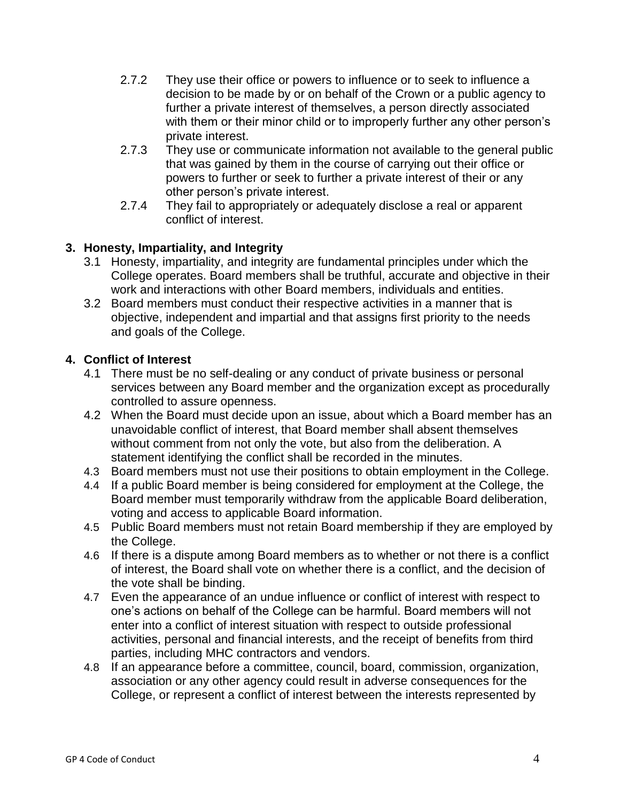- 2.7.2 They use their office or powers to influence or to seek to influence a decision to be made by or on behalf of the Crown or a public agency to further a private interest of themselves, a person directly associated with them or their minor child or to improperly further any other person's private interest.
- 2.7.3 They use or communicate information not available to the general public that was gained by them in the course of carrying out their office or powers to further or seek to further a private interest of their or any other person's private interest.
- 2.7.4 They fail to appropriately or adequately disclose a real or apparent conflict of interest.

## **3. Honesty, Impartiality, and Integrity**

- 3.1 Honesty, impartiality, and integrity are fundamental principles under which the College operates. Board members shall be truthful, accurate and objective in their work and interactions with other Board members, individuals and entities.
- 3.2 Board members must conduct their respective activities in a manner that is objective, independent and impartial and that assigns first priority to the needs and goals of the College.

#### **4. Conflict of Interest**

- 4.1 There must be no self-dealing or any conduct of private business or personal services between any Board member and the organization except as procedurally controlled to assure openness.
- 4.2 When the Board must decide upon an issue, about which a Board member has an unavoidable conflict of interest, that Board member shall absent themselves without comment from not only the vote, but also from the deliberation. A statement identifying the conflict shall be recorded in the minutes.
- 4.3 Board members must not use their positions to obtain employment in the College.
- 4.4 If a public Board member is being considered for employment at the College, the Board member must temporarily withdraw from the applicable Board deliberation, voting and access to applicable Board information.
- 4.5 Public Board members must not retain Board membership if they are employed by the College.
- 4.6 If there is a dispute among Board members as to whether or not there is a conflict of interest, the Board shall vote on whether there is a conflict, and the decision of the vote shall be binding.
- 4.7 Even the appearance of an undue influence or conflict of interest with respect to one's actions on behalf of the College can be harmful. Board members will not enter into a conflict of interest situation with respect to outside professional activities, personal and financial interests, and the receipt of benefits from third parties, including MHC contractors and vendors.
- 4.8 If an appearance before a committee, council, board, commission, organization, association or any other agency could result in adverse consequences for the College, or represent a conflict of interest between the interests represented by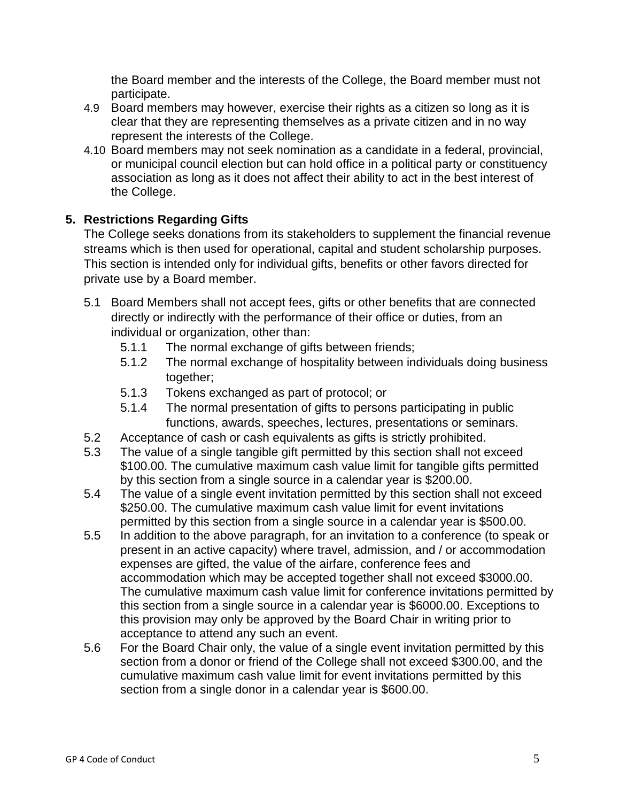the Board member and the interests of the College, the Board member must not participate.

- 4.9 Board members may however, exercise their rights as a citizen so long as it is clear that they are representing themselves as a private citizen and in no way represent the interests of the College.
- 4.10 Board members may not seek nomination as a candidate in a federal, provincial, or municipal council election but can hold office in a political party or constituency association as long as it does not affect their ability to act in the best interest of the College.

## **5. Restrictions Regarding Gifts**

The College seeks donations from its stakeholders to supplement the financial revenue streams which is then used for operational, capital and student scholarship purposes. This section is intended only for individual gifts, benefits or other favors directed for private use by a Board member.

- 5.1 Board Members shall not accept fees, gifts or other benefits that are connected directly or indirectly with the performance of their office or duties, from an individual or organization, other than:
	- 5.1.1 The normal exchange of gifts between friends;
	- 5.1.2 The normal exchange of hospitality between individuals doing business together;
	- 5.1.3 Tokens exchanged as part of protocol; or
	- 5.1.4 The normal presentation of gifts to persons participating in public functions, awards, speeches, lectures, presentations or seminars.
- 5.2 Acceptance of cash or cash equivalents as gifts is strictly prohibited.
- 5.3 The value of a single tangible gift permitted by this section shall not exceed \$100.00. The cumulative maximum cash value limit for tangible gifts permitted by this section from a single source in a calendar year is \$200.00.
- 5.4 The value of a single event invitation permitted by this section shall not exceed \$250.00. The cumulative maximum cash value limit for event invitations permitted by this section from a single source in a calendar year is \$500.00.
- 5.5 In addition to the above paragraph, for an invitation to a conference (to speak or present in an active capacity) where travel, admission, and / or accommodation expenses are gifted, the value of the airfare, conference fees and accommodation which may be accepted together shall not exceed \$3000.00. The cumulative maximum cash value limit for conference invitations permitted by this section from a single source in a calendar year is \$6000.00. Exceptions to this provision may only be approved by the Board Chair in writing prior to acceptance to attend any such an event.
- 5.6 For the Board Chair only, the value of a single event invitation permitted by this section from a donor or friend of the College shall not exceed \$300.00, and the cumulative maximum cash value limit for event invitations permitted by this section from a single donor in a calendar year is \$600.00.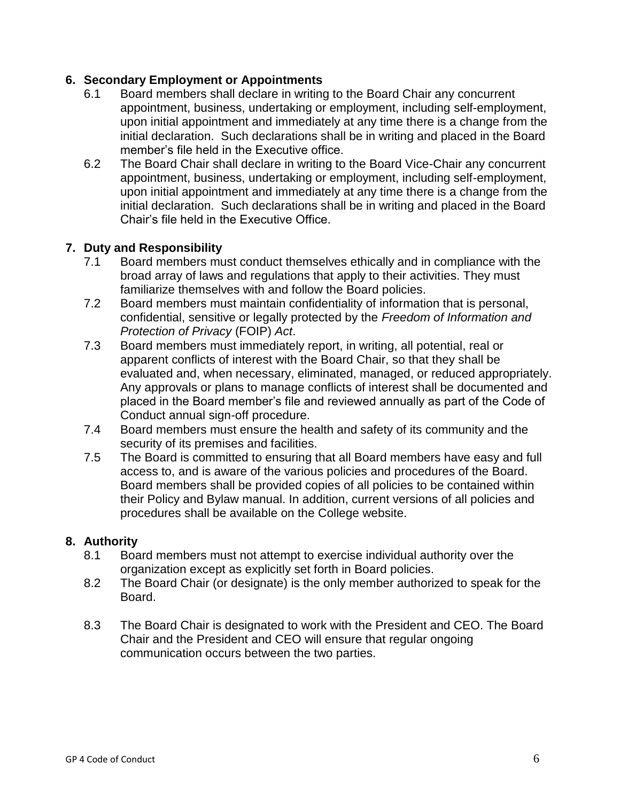## **6. Secondary Employment or Appointments**

- 6.1 Board members shall declare in writing to the Board Chair any concurrent appointment, business, undertaking or employment, including self-employment, upon initial appointment and immediately at any time there is a change from the initial declaration. Such declarations shall be in writing and placed in the Board member's file held in the Executive office.
- 6.2 The Board Chair shall declare in writing to the Board Vice-Chair any concurrent appointment, business, undertaking or employment, including self-employment, upon initial appointment and immediately at any time there is a change from the initial declaration. Such declarations shall be in writing and placed in the Board Chair's file held in the Executive Office.

### **7. Duty and Responsibility**

- 7.1 Board members must conduct themselves ethically and in compliance with the broad array of laws and regulations that apply to their activities. They must familiarize themselves with and follow the Board policies.
- 7.2 Board members must maintain confidentiality of information that is personal, confidential, sensitive or legally protected by the *Freedom of Information and Protection of Privacy* (FOIP) *Act*.
- 7.3 Board members must immediately report, in writing, all potential, real or apparent conflicts of interest with the Board Chair, so that they shall be evaluated and, when necessary, eliminated, managed, or reduced appropriately. Any approvals or plans to manage conflicts of interest shall be documented and placed in the Board member's file and reviewed annually as part of the Code of Conduct annual sign-off procedure.
- 7.4 Board members must ensure the health and safety of its community and the security of its premises and facilities.
- 7.5 The Board is committed to ensuring that all Board members have easy and full access to, and is aware of the various policies and procedures of the Board. Board members shall be provided copies of all policies to be contained within their Policy and Bylaw manual. In addition, current versions of all policies and procedures shall be available on the College website.

#### **8. Authority**

- 8.1 Board members must not attempt to exercise individual authority over the organization except as explicitly set forth in Board policies.
- 8.2 The Board Chair (or designate) is the only member authorized to speak for the Board.
- 8.3 The Board Chair is designated to work with the President and CEO. The Board Chair and the President and CEO will ensure that regular ongoing communication occurs between the two parties.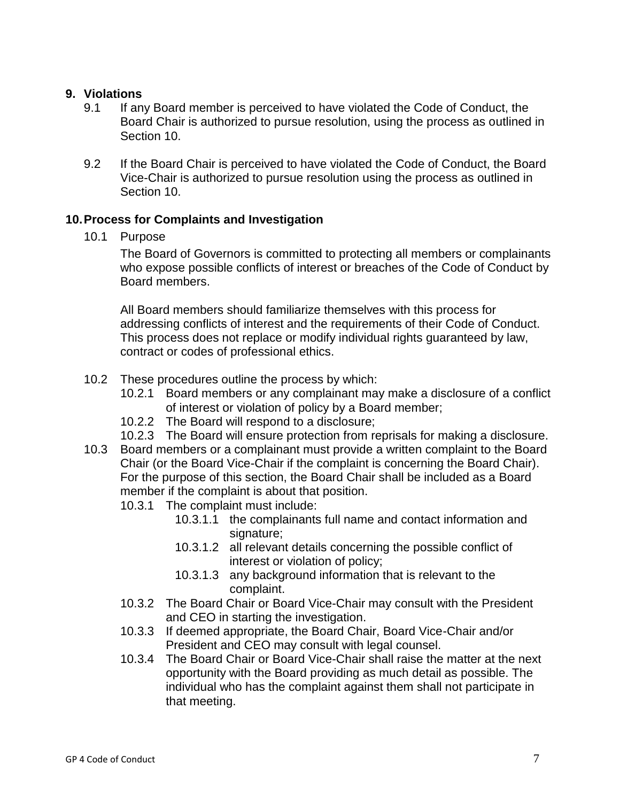#### **9. Violations**

- 9.1 If any Board member is perceived to have violated the Code of Conduct, the Board Chair is authorized to pursue resolution, using the process as outlined in Section 10.
- 9.2 If the Board Chair is perceived to have violated the Code of Conduct, the Board Vice-Chair is authorized to pursue resolution using the process as outlined in Section 10.

#### **10.Process for Complaints and Investigation**

10.1 Purpose

The Board of Governors is committed to protecting all members or complainants who expose possible conflicts of interest or breaches of the Code of Conduct by Board members.

All Board members should familiarize themselves with this process for addressing conflicts of interest and the requirements of their Code of Conduct. This process does not replace or modify individual rights guaranteed by law, contract or codes of professional ethics.

- 10.2 These procedures outline the process by which:
	- 10.2.1 Board members or any complainant may make a disclosure of a conflict of interest or violation of policy by a Board member;
	- 10.2.2 The Board will respond to a disclosure;
	- 10.2.3 The Board will ensure protection from reprisals for making a disclosure.
- 10.3 Board members or a complainant must provide a written complaint to the Board Chair (or the Board Vice-Chair if the complaint is concerning the Board Chair). For the purpose of this section, the Board Chair shall be included as a Board member if the complaint is about that position.
	- 10.3.1 The complaint must include:
		- 10.3.1.1 the complainants full name and contact information and signature;
		- 10.3.1.2 all relevant details concerning the possible conflict of interest or violation of policy;
		- 10.3.1.3 any background information that is relevant to the complaint.
	- 10.3.2 The Board Chair or Board Vice-Chair may consult with the President and CEO in starting the investigation.
	- 10.3.3 If deemed appropriate, the Board Chair, Board Vice-Chair and/or President and CEO may consult with legal counsel.
	- 10.3.4 The Board Chair or Board Vice-Chair shall raise the matter at the next opportunity with the Board providing as much detail as possible. The individual who has the complaint against them shall not participate in that meeting.